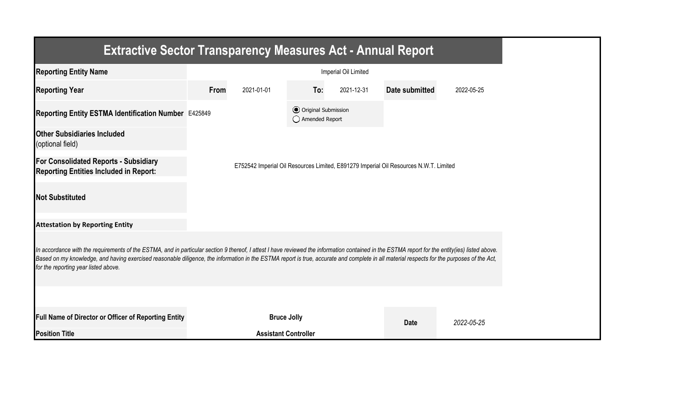| <b>Extractive Sector Transparency Measures Act - Annual Report</b>                                                                                                                                                                                                                                                                                                                                                                    |                      |                             |                                                  |            |                                                                                       |            |  |  |
|---------------------------------------------------------------------------------------------------------------------------------------------------------------------------------------------------------------------------------------------------------------------------------------------------------------------------------------------------------------------------------------------------------------------------------------|----------------------|-----------------------------|--------------------------------------------------|------------|---------------------------------------------------------------------------------------|------------|--|--|
| <b>Reporting Entity Name</b>                                                                                                                                                                                                                                                                                                                                                                                                          | Imperial Oil Limited |                             |                                                  |            |                                                                                       |            |  |  |
| <b>Reporting Year</b>                                                                                                                                                                                                                                                                                                                                                                                                                 | From                 | 2021-01-01                  | To:                                              | 2021-12-31 | <b>Date submitted</b>                                                                 | 2022-05-25 |  |  |
| Reporting Entity ESTMA Identification Number E425849                                                                                                                                                                                                                                                                                                                                                                                  |                      |                             | <b>⊙</b> Original Submission<br>◯ Amended Report |            |                                                                                       |            |  |  |
| <b>Other Subsidiaries Included</b><br>(optional field)                                                                                                                                                                                                                                                                                                                                                                                |                      |                             |                                                  |            |                                                                                       |            |  |  |
| <b>For Consolidated Reports - Subsidiary</b><br><b>Reporting Entities Included in Report:</b>                                                                                                                                                                                                                                                                                                                                         |                      |                             |                                                  |            | E752542 Imperial Oil Resources Limited, E891279 Imperial Oil Resources N.W.T. Limited |            |  |  |
| <b>Not Substituted</b>                                                                                                                                                                                                                                                                                                                                                                                                                |                      |                             |                                                  |            |                                                                                       |            |  |  |
| <b>Attestation by Reporting Entity</b>                                                                                                                                                                                                                                                                                                                                                                                                |                      |                             |                                                  |            |                                                                                       |            |  |  |
| In accordance with the requirements of the ESTMA, and in particular section 9 thereof, I attest I have reviewed the information contained in the ESTMA report for the entity(ies) listed above.<br>Based on my knowledge, and having exercised reasonable diligence, the information in the ESTMA report is true, accurate and complete in all material respects for the purposes of the Act,<br>for the reporting year listed above. |                      |                             |                                                  |            |                                                                                       |            |  |  |
|                                                                                                                                                                                                                                                                                                                                                                                                                                       |                      |                             |                                                  |            |                                                                                       |            |  |  |
| Full Name of Director or Officer of Reporting Entity                                                                                                                                                                                                                                                                                                                                                                                  |                      | <b>Bruce Jolly</b>          |                                                  |            | <b>Date</b>                                                                           | 2022-05-25 |  |  |
| <b>Position Title</b>                                                                                                                                                                                                                                                                                                                                                                                                                 |                      | <b>Assistant Controller</b> |                                                  |            |                                                                                       |            |  |  |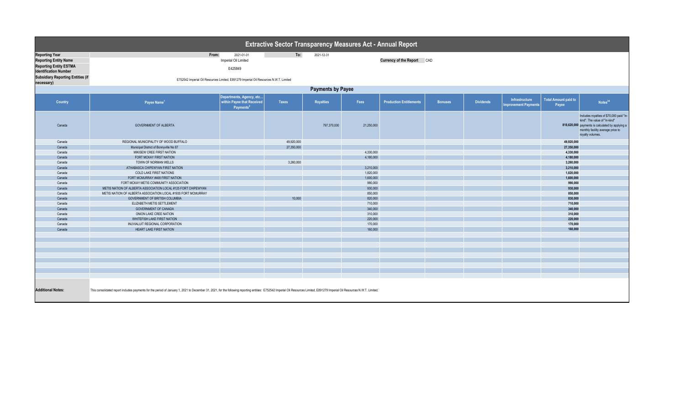| <b>Extractive Sector Transparency Measures Act - Annual Report</b>                                                     |                                                                                                                                                                                                                                |                                                                                 |            |                  |            |                                |                |                  |                                       |                                      |                                                                                                                                                                                        |  |
|------------------------------------------------------------------------------------------------------------------------|--------------------------------------------------------------------------------------------------------------------------------------------------------------------------------------------------------------------------------|---------------------------------------------------------------------------------|------------|------------------|------------|--------------------------------|----------------|------------------|---------------------------------------|--------------------------------------|----------------------------------------------------------------------------------------------------------------------------------------------------------------------------------------|--|
| <b>Reporting Year</b><br><b>Reporting Entity Name</b><br><b>Reporting Entity ESTMA</b><br><b>Identification Number</b> | From:                                                                                                                                                                                                                          | 2021-01-01<br>Imperial Oil Limited<br>E425849                                   | To:        | 2021-12-31       |            | Currency of the Report CAD     |                |                  |                                       |                                      |                                                                                                                                                                                        |  |
| <b>Subsidiary Reporting Entities (if</b><br>necessary)                                                                 | E752542 Imperial Oil Resources Limited, E891279 Imperial Oil Resources N.W.T. Limited                                                                                                                                          |                                                                                 |            |                  |            |                                |                |                  |                                       |                                      |                                                                                                                                                                                        |  |
| <b>Payments by Payee</b>                                                                                               |                                                                                                                                                                                                                                |                                                                                 |            |                  |            |                                |                |                  |                                       |                                      |                                                                                                                                                                                        |  |
| Country                                                                                                                | Payee Name <sup>1</sup>                                                                                                                                                                                                        | Departments, Agency, etc<br>within Payee that Received<br>Payments <sup>2</sup> | Taxes      | <b>Royalties</b> | Fees       | <b>Production Entitlements</b> | <b>Bonuses</b> | <b>Dividends</b> | Infrastructure<br>mprovement Payments | <b>Total Amount paid to</b><br>Payee | Notes <sup>34</sup>                                                                                                                                                                    |  |
| Canada                                                                                                                 | <b>GOVERNMENT OF ALBERTA</b>                                                                                                                                                                                                   |                                                                                 |            | 797,370,000      | 21,250,000 |                                |                |                  |                                       |                                      | Includes royalties of \$70,000 paid "in-<br>kind". The value of "in-kind"<br>818,620,000 payments is calculated by applying a<br>monthly facility average price to<br>royalty volumes. |  |
| Canada                                                                                                                 | REGIONAL MUNICIPALITY OF WOOD BUFFALO                                                                                                                                                                                          |                                                                                 | 49,920,000 |                  |            |                                |                |                  |                                       | 49,920,000                           |                                                                                                                                                                                        |  |
| Canada                                                                                                                 | Municipal District of Bonnyville No 87                                                                                                                                                                                         |                                                                                 | 27,350,000 |                  |            |                                |                |                  |                                       | 27,350,000                           |                                                                                                                                                                                        |  |
| Canada                                                                                                                 | MIKISEW CREE FIRST NATION                                                                                                                                                                                                      |                                                                                 |            |                  | 4,330,000  |                                |                |                  |                                       | 4,330,000                            |                                                                                                                                                                                        |  |
| Canada                                                                                                                 | FORT MCKAY FIRST NATION                                                                                                                                                                                                        |                                                                                 |            |                  | 4,180,000  |                                |                |                  |                                       | 4,180,000                            |                                                                                                                                                                                        |  |
| Canada                                                                                                                 | TOWN OF NORMAN WELLS                                                                                                                                                                                                           |                                                                                 | 3,260,000  |                  |            |                                |                |                  |                                       | 3,260,000                            |                                                                                                                                                                                        |  |
| Canada                                                                                                                 | ATHABASCA CHIPEWYAN FIRST NATION                                                                                                                                                                                               |                                                                                 |            |                  | 3,210,000  |                                |                |                  |                                       | 3,210,000                            |                                                                                                                                                                                        |  |
| Canada                                                                                                                 | <b>COLD LAKE FIRST NATIONS</b>                                                                                                                                                                                                 |                                                                                 |            |                  | 1,820,000  |                                |                |                  |                                       | 1,820,000                            |                                                                                                                                                                                        |  |
| Canada                                                                                                                 | FORT MCMURRAY #468 FIRST NATION                                                                                                                                                                                                |                                                                                 |            |                  | 1,600,000  |                                |                |                  |                                       | 1,600,000                            |                                                                                                                                                                                        |  |
| Canada                                                                                                                 | FORT MCKAY METIS COMMUNITY ASSOCIATION                                                                                                                                                                                         |                                                                                 |            |                  | 990,000    |                                |                |                  |                                       | 990,000                              |                                                                                                                                                                                        |  |
| Canada                                                                                                                 | METIS NATION OF ALBERTA ASSOCIATION LOCAL #125 FORT CHIPEWYAN                                                                                                                                                                  |                                                                                 |            |                  | 930,000    |                                |                |                  |                                       | 930,000                              |                                                                                                                                                                                        |  |
| Canada                                                                                                                 | METIS NATION OF ALBERTA ASSOCIATION LOCAL #1935 FORT MCMURRAY                                                                                                                                                                  |                                                                                 |            |                  | 850,000    |                                |                |                  |                                       | 850,000                              |                                                                                                                                                                                        |  |
| Canada                                                                                                                 | GOVERNMENT OF BRITISH COLUMBIA                                                                                                                                                                                                 |                                                                                 | 10,000     |                  | 820,000    |                                |                |                  |                                       | 830,000                              |                                                                                                                                                                                        |  |
| Canada                                                                                                                 | ELIZABETH METIS SETTLEMENT                                                                                                                                                                                                     |                                                                                 |            |                  | 710,000    |                                |                |                  |                                       | 710,000                              |                                                                                                                                                                                        |  |
| Canada                                                                                                                 | <b>GOVERNMENT OF CANADA</b>                                                                                                                                                                                                    |                                                                                 |            |                  | 340,000    |                                |                |                  |                                       | 340,000                              |                                                                                                                                                                                        |  |
| Canada                                                                                                                 | ONION LAKE CREE NATION                                                                                                                                                                                                         |                                                                                 |            |                  | 310,000    |                                |                |                  |                                       | 310,000                              |                                                                                                                                                                                        |  |
| Canada                                                                                                                 | WHITEFISH LAKE FIRST NATION                                                                                                                                                                                                    |                                                                                 |            |                  | 220,000    |                                |                |                  |                                       | 220,000                              |                                                                                                                                                                                        |  |
| Canada                                                                                                                 | INUVIALUIT REGIONAL CORPORATION                                                                                                                                                                                                |                                                                                 |            |                  | 170,000    |                                |                |                  |                                       | 170,000                              |                                                                                                                                                                                        |  |
| Canada                                                                                                                 | HEART LAKE FIRST NATION                                                                                                                                                                                                        |                                                                                 |            |                  | 160,000    |                                |                |                  |                                       | 160,000                              |                                                                                                                                                                                        |  |
|                                                                                                                        |                                                                                                                                                                                                                                |                                                                                 |            |                  |            |                                |                |                  |                                       |                                      |                                                                                                                                                                                        |  |
|                                                                                                                        |                                                                                                                                                                                                                                |                                                                                 |            |                  |            |                                |                |                  |                                       |                                      |                                                                                                                                                                                        |  |
|                                                                                                                        |                                                                                                                                                                                                                                |                                                                                 |            |                  |            |                                |                |                  |                                       |                                      |                                                                                                                                                                                        |  |
|                                                                                                                        |                                                                                                                                                                                                                                |                                                                                 |            |                  |            |                                |                |                  |                                       |                                      |                                                                                                                                                                                        |  |
|                                                                                                                        |                                                                                                                                                                                                                                |                                                                                 |            |                  |            |                                |                |                  |                                       |                                      |                                                                                                                                                                                        |  |
|                                                                                                                        |                                                                                                                                                                                                                                |                                                                                 |            |                  |            |                                |                |                  |                                       |                                      |                                                                                                                                                                                        |  |
|                                                                                                                        |                                                                                                                                                                                                                                |                                                                                 |            |                  |            |                                |                |                  |                                       |                                      |                                                                                                                                                                                        |  |
|                                                                                                                        |                                                                                                                                                                                                                                |                                                                                 |            |                  |            |                                |                |                  |                                       |                                      |                                                                                                                                                                                        |  |
|                                                                                                                        |                                                                                                                                                                                                                                |                                                                                 |            |                  |            |                                |                |                  |                                       |                                      |                                                                                                                                                                                        |  |
| <b>Additional Notes:</b>                                                                                               | This consolidated report includes payments for the period of January 1, 2021 to December 31, 2021, for the following reporting entities: E752542 Imperial Oil Resources Limited, E891279 Imperial Oil Resources N.W.T. Limited |                                                                                 |            |                  |            |                                |                |                  |                                       |                                      |                                                                                                                                                                                        |  |